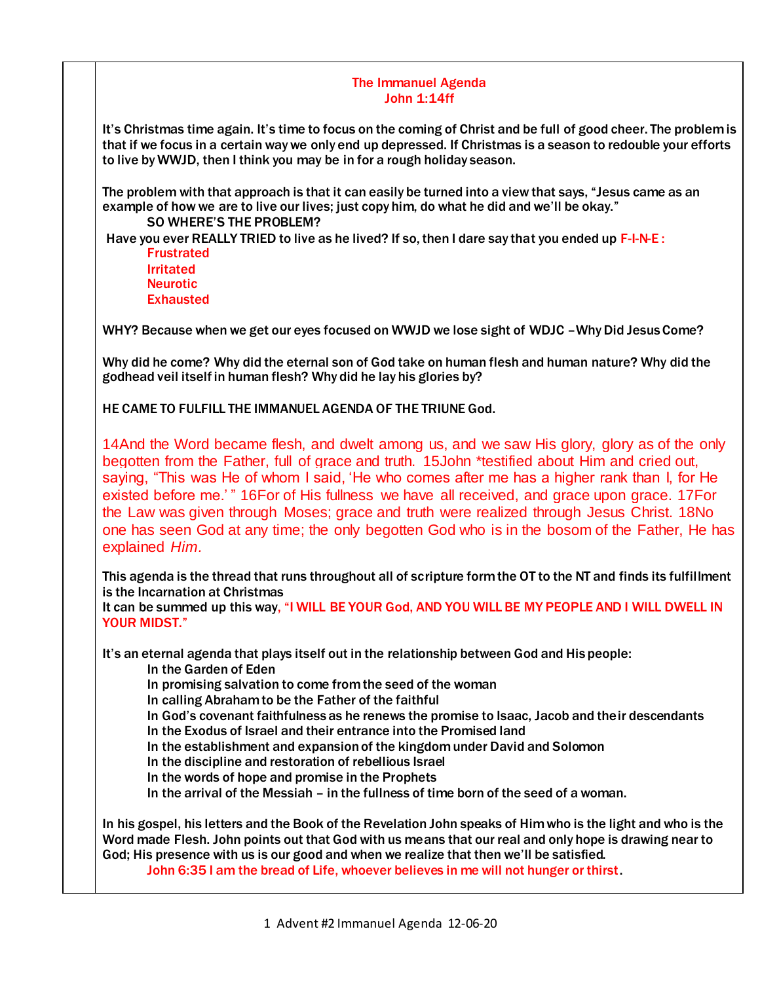## The Immanuel Agenda John 1:14ff

It's Christmas time again. It's time to focus on the coming of Christ and be full of good cheer. The problem is that if we focus in a certain way we only end up depressed. If Christmas is a season to redouble your efforts to live by WWJD, then I think you may be in for a rough holiday season.

The problem with that approach is that it can easily be turned into a view that says, "Jesus came as an example of how we are to live our lives; just copy him, do what he did and we'll be okay." SO WHERE'S THE PROBLEM?

Have you ever REALLY TRIED to live as he lived? If so, then I dare say that you ended up F-I-N-E : Frustrated

Irritated Neurotic **Exhausted** 

WHY? Because when we get our eyes focused on WWJD we lose sight of WDJC –Why Did Jesus Come?

Why did he come? Why did the eternal son of God take on human flesh and human nature? Why did the godhead veil itself in human flesh? Why did he lay his glories by?

HE CAME TO FULFILL THE IMMANUEL AGENDA OF THE TRIUNE God.

14And the Word became flesh, and dwelt among us, and we saw His glory, glory as of the only begotten from the Father, full of grace and truth. 15John \*testified about Him and cried out, saying, "This was He of whom I said, 'He who comes after me has a higher rank than I, for He existed before me.' " 16For of His fullness we have all received, and grace upon grace. 17For the Law was given through Moses; grace and truth were realized through Jesus Christ. 18No one has seen God at any time; the only begotten God who is in the bosom of the Father, He has explained *Him.*

This agenda is the thread that runs throughout all of scripture form the OT to the NT and finds its fulfillment is the Incarnation at Christmas

It can be summed up this way, "I WILL BE YOUR God, AND YOU WILL BE MY PEOPLE AND I WILL DWELL IN YOUR MIDST."

It's an eternal agenda that plays itself out in the relationship between God and His people:

In the Garden of Eden

In promising salvation to come from the seed of the woman

In calling Abraham to be the Father of the faithful

In God's covenant faithfulness as he renews the promise to Isaac, Jacob and their descendants In the Exodus of Israel and their entrance into the Promised land

In the establishment and expansion of the kingdom under David and Solomon

In the discipline and restoration of rebellious Israel

In the words of hope and promise in the Prophets

In the arrival of the Messiah – in the fullness of time born of the seed of a woman.

In his gospel, his letters and the Book of the Revelation John speaks of Him who is the light and who is the Word made Flesh. John points out that God with us means that our real and only hope is drawing near to God; His presence with us is our good and when we realize that then we'll be satisfied.

John 6:35 I am the bread of Life, whoever believes in me will not hunger or thirst.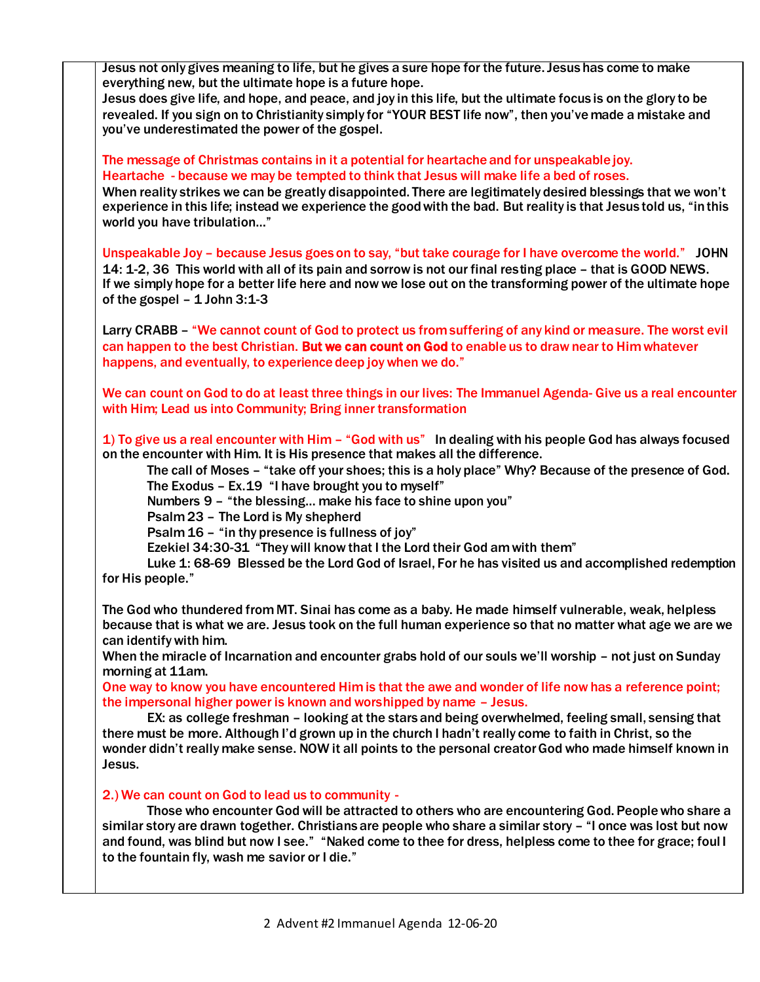Jesus not only gives meaning to life, but he gives a sure hope for the future. Jesus has come to make everything new, but the ultimate hope is a future hope.

Jesus does give life, and hope, and peace, and joy in this life, but the ultimate focus is on the glory to be revealed. If you sign on to Christianity simply for "YOUR BEST life now", then you've made a mistake and you've underestimated the power of the gospel.

The message of Christmas contains in it a potential for heartache and for unspeakable joy. Heartache - because we may be tempted to think that Jesus will make life a bed of roses.

When reality strikes we can be greatly disappointed. There are legitimately desired blessings that we won't experience in this life; instead we experience the good with the bad. But reality is that Jesus told us, "in this world you have tribulation…"

Unspeakable Joy – because Jesus goes on to say, "but take courage for I have overcome the world." JOHN 14: 1-2, 36 This world with all of its pain and sorrow is not our final resting place – that is GOOD NEWS. If we simply hope for a better life here and now we lose out on the transforming power of the ultimate hope of the gospel  $-1$  John 3:1-3

Larry CRABB – "We cannot count of God to protect us from suffering of any kind or measure. The worst evil can happen to the best Christian. But we can count on God to enable us to draw near to Him whatever happens, and eventually, to experience deep joy when we do."

We can count on God to do at least three things in our lives: The Immanuel Agenda- Give us a real encounter with Him; Lead us into Community; Bring inner transformation

1) To give us a real encounter with Him – "God with us" In dealing with his people God has always focused on the encounter with Him. It is His presence that makes all the difference.

The call of Moses – "take off your shoes; this is a holy place" Why? Because of the presence of God. The Exodus – Ex.19 "I have brought you to myself"

Numbers 9 – "the blessing… make his face to shine upon you"

Psalm 23 – The Lord is My shepherd

Psalm 16 – "in thy presence is fullness of joy"

Ezekiel 34:30-31 "They will know that I the Lord their God am with them"

Luke 1: 68-69 Blessed be the Lord God of Israel, For he has visited us and accomplished redemption for His people."

The God who thundered from MT. Sinai has come as a baby. He made himself vulnerable, weak, helpless because that is what we are. Jesus took on the full human experience so that no matter what age we are we can identify with him.

When the miracle of Incarnation and encounter grabs hold of our souls we'll worship – not just on Sunday morning at 11am.

One way to know you have encountered Him is that the awe and wonder of life now has a reference point; the impersonal higher power is known and worshipped by name – Jesus.

EX: as college freshman – looking at the stars and being overwhelmed, feeling small, sensing that there must be more. Although I'd grown up in the church I hadn't really come to faith in Christ, so the wonder didn't really make sense. NOW it all points to the personal creator God who made himself known in Jesus.

2.) We can count on God to lead us to community -

Those who encounter God will be attracted to others who are encountering God. People who share a similar story are drawn together. Christians are people who share a similar story – "I once was lost but now and found, was blind but now I see." "Naked come to thee for dress, helpless come to thee for grace; foul I to the fountain fly, wash me savior or I die."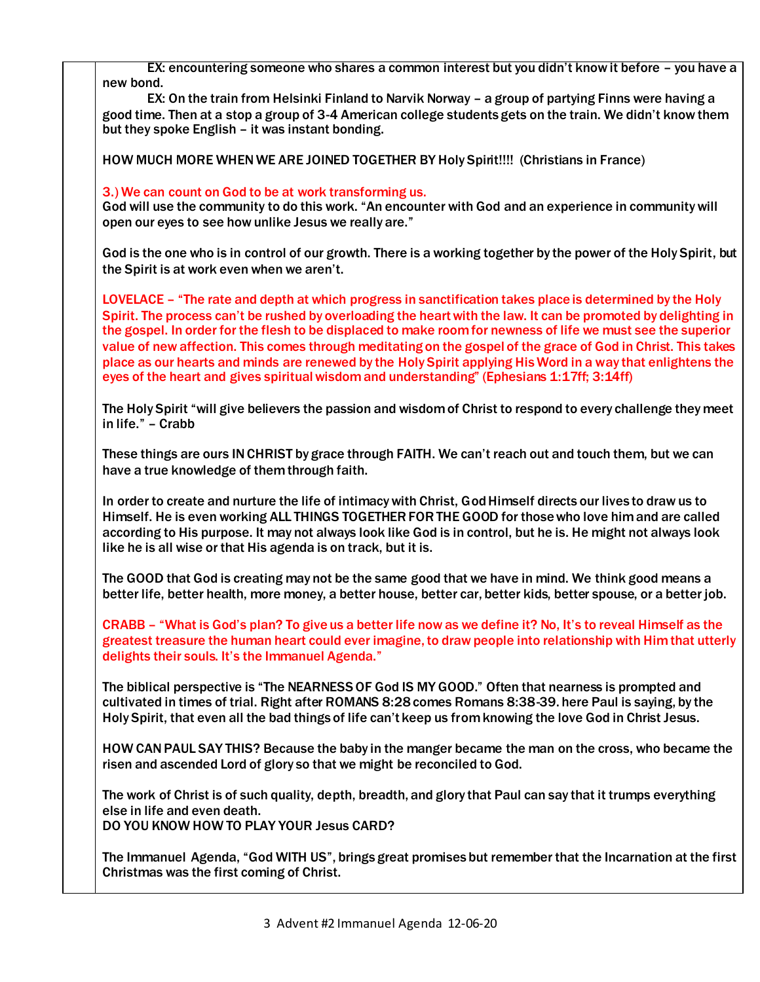EX: encountering someone who shares a common interest but you didn't know it before – you have a new bond.

EX: On the train from Helsinki Finland to Narvik Norway – a group of partying Finns were having a good time. Then at a stop a group of 3-4 American college students gets on the train. We didn't know them but they spoke English – it was instant bonding.

HOW MUCH MORE WHEN WE ARE JOINED TOGETHER BY Holy Spirit!!!! (Christians in France)

## 3.) We can count on God to be at work transforming us.

God will use the community to do this work. "An encounter with God and an experience in community will open our eyes to see how unlike Jesus we really are."

God is the one who is in control of our growth. There is a working together by the power of the Holy Spirit, but the Spirit is at work even when we aren't.

LOVELACE – "The rate and depth at which progress in sanctification takes place is determined by the Holy Spirit. The process can't be rushed by overloading the heart with the law. It can be promoted by delighting in the gospel. In order for the flesh to be displaced to make room for newness of life we must see the superior value of new affection. This comes through meditating on the gospel of the grace of God in Christ. This takes place as our hearts and minds are renewed by the Holy Spirit applying His Word in a way that enlightens the eyes of the heart and gives spiritual wisdom and understanding" (Ephesians 1:17ff; 3:14ff)

The Holy Spirit "will give believers the passion and wisdom of Christ to respond to every challenge they meet in life." – Crabb

These things are ours IN CHRIST by grace through FAITH. We can't reach out and touch them, but we can have a true knowledge of them through faith.

In order to create and nurture the life of intimacy with Christ, God Himself directs our lives to draw us to Himself. He is even working ALL THINGS TOGETHER FOR THE GOOD for those who love him and are called according to His purpose. It may not always look like God is in control, but he is. He might not always look like he is all wise or that His agenda is on track, but it is.

The GOOD that God is creating may not be the same good that we have in mind. We think good means a better life, better health, more money, a better house, better car, better kids, better spouse, or a better job.

CRABB – "What is God's plan? To give us a better life now as we define it? No, It's to reveal Himself as the greatest treasure the human heart could ever imagine, to draw people into relationship with Him that utterly delights their souls. It's the Immanuel Agenda."

The biblical perspective is "The NEARNESS OF God IS MY GOOD." Often that nearness is prompted and cultivated in times of trial. Right after ROMANS 8:28 comes Romans 8:38-39. here Paul is saying, by the Holy Spirit, that even all the bad things of life can't keep us from knowing the love God in Christ Jesus.

HOW CAN PAUL SAY THIS? Because the baby in the manger became the man on the cross, who became the risen and ascended Lord of glory so that we might be reconciled to God.

The work of Christ is of such quality, depth, breadth, and glory that Paul can say that it trumps everything else in life and even death. DO YOU KNOW HOW TO PLAY YOUR Jesus CARD?

The Immanuel Agenda, "God WITH US", brings great promises but remember that the Incarnation at the first Christmas was the first coming of Christ.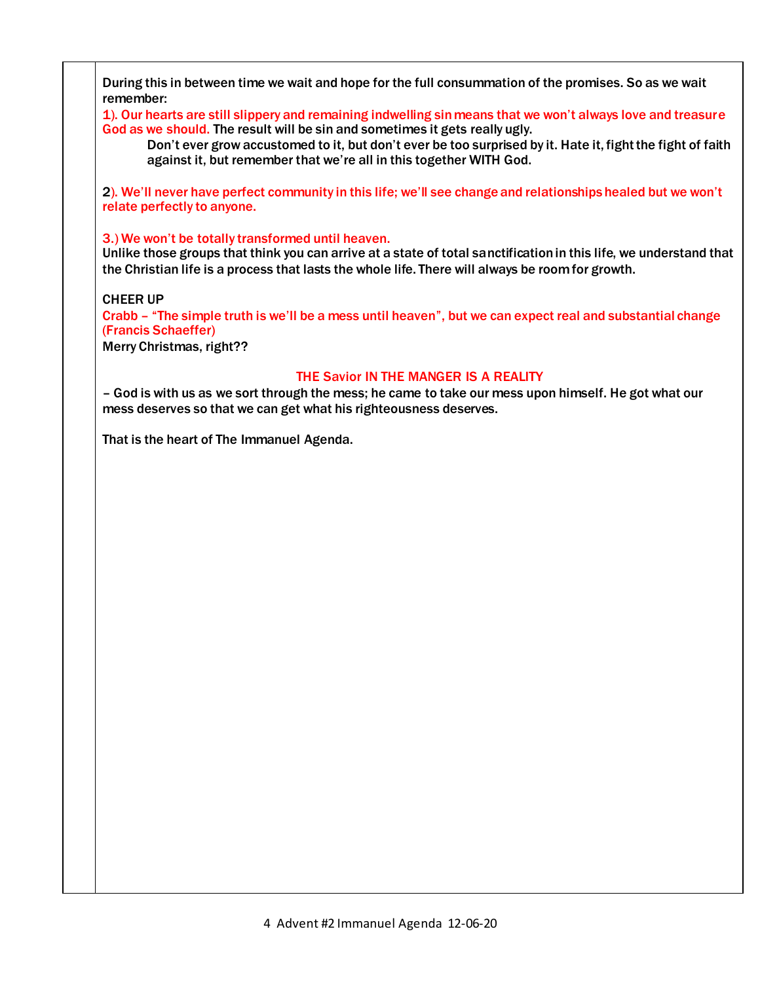During this in between time we wait and hope for the full consummation of the promises. So as we wait remember:

1). Our hearts are still slippery and remaining indwelling sin means that we won't always love and treasure God as we should. The result will be sin and sometimes it gets really ugly.

Don't ever grow accustomed to it, but don't ever be too surprised by it. Hate it, fight the fight of faith against it, but remember that we're all in this together WITH God.

2). We'll never have perfect community in this life; we'll see change and relationships healed but we won't relate perfectly to anyone.

3.) We won't be totally transformed until heaven.

Unlike those groups that think you can arrive at a state of total sanctification in this life, we understand that the Christian life is a process that lasts the whole life. There will always be room for growth.

CHEER UP

Crabb – "The simple truth is we'll be a mess until heaven", but we can expect real and substantial change (Francis Schaeffer)

Merry Christmas, right??

## THE Savior IN THE MANGER IS A REALITY

– God is with us as we sort through the mess; he came to take our mess upon himself. He got what our mess deserves so that we can get what his righteousness deserves.

That is the heart of The Immanuel Agenda.